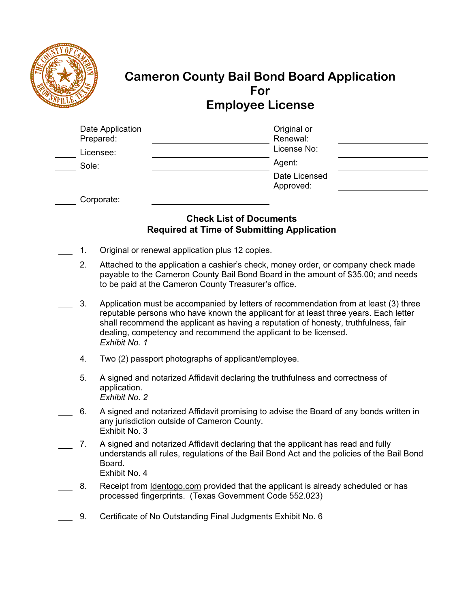

# **Cameron County Bail Bond Board Application For Employee License**

| Date Application<br>Prepared: | Original or<br>Renewal:    |  |
|-------------------------------|----------------------------|--|
| Licensee:                     | License No:                |  |
| Sole:                         | Agent:                     |  |
|                               | Date Licensed<br>Approved: |  |
|                               |                            |  |

Corporate:

### **Check List of Documents Required at Time of Submitting Application**

- 1. Original or renewal application plus 12 copies.
- 2. Attached to the application a cashier's check, money order, or company check made payable to the Cameron County Bail Bond Board in the amount of \$35.00; and needs to be paid at the Cameron County Treasurer's office.
- 3. Application must be accompanied by letters of recommendation from at least (3) three reputable persons who have known the applicant for at least three years. Each letter shall recommend the applicant as having a reputation of honesty, truthfulness, fair dealing, competency and recommend the applicant to be licensed. *Exhibit No. 1*
- 4. Two (2) passport photographs of applicant/employee.
- 5. A signed and notarized Affidavit declaring the truthfulness and correctness of application. *Exhibit No. 2*
- 6. A signed and notarized Affidavit promising to advise the Board of any bonds written in any jurisdiction outside of Cameron County. Exhibit No. 3
- 7. A signed and notarized Affidavit declaring that the applicant has read and fully understands all rules, regulations of the Bail Bond Act and the policies of the Bail Bond Board.

Exhibit No. 4

- 8. Receipt from Identogo.com provided that the applicant is already scheduled or has processed fingerprints. (Texas Government Code 552.023)
	- 9. Certificate of No Outstanding Final Judgments Exhibit No. 6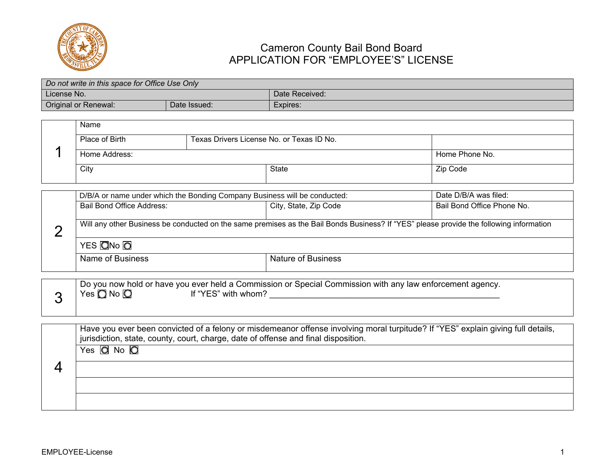

# Cameron County Bail Bond Board APPLICATION FOR "EMPLOYEE'S" LICENSE

|                                                                                                    | Do not write in this space for Office Use Only                                                                                          |                                                                                                                                                                                                                        |                                           |                            |  |  |  |
|----------------------------------------------------------------------------------------------------|-----------------------------------------------------------------------------------------------------------------------------------------|------------------------------------------------------------------------------------------------------------------------------------------------------------------------------------------------------------------------|-------------------------------------------|----------------------------|--|--|--|
| License No.                                                                                        |                                                                                                                                         | Date Received:                                                                                                                                                                                                         |                                           |                            |  |  |  |
|                                                                                                    | Original or Renewal:<br>Date Issued:                                                                                                    |                                                                                                                                                                                                                        | Expires:                                  |                            |  |  |  |
|                                                                                                    | Name                                                                                                                                    |                                                                                                                                                                                                                        |                                           |                            |  |  |  |
|                                                                                                    | Place of Birth                                                                                                                          |                                                                                                                                                                                                                        | Texas Drivers License No. or Texas ID No. |                            |  |  |  |
|                                                                                                    | Home Address:                                                                                                                           |                                                                                                                                                                                                                        |                                           | Home Phone No.             |  |  |  |
|                                                                                                    | City                                                                                                                                    |                                                                                                                                                                                                                        | <b>State</b>                              | Zip Code                   |  |  |  |
| Date D/B/A was filed:<br>D/B/A or name under which the Bonding Company Business will be conducted: |                                                                                                                                         |                                                                                                                                                                                                                        |                                           |                            |  |  |  |
|                                                                                                    | <b>Bail Bond Office Address:</b>                                                                                                        |                                                                                                                                                                                                                        | City, State, Zip Code                     | Bail Bond Office Phone No. |  |  |  |
| $\overline{2}$                                                                                     | Will any other Business be conducted on the same premises as the Bail Bonds Business? If "YES" please provide the following information |                                                                                                                                                                                                                        |                                           |                            |  |  |  |
|                                                                                                    | YES ON <sub>o</sub> O                                                                                                                   |                                                                                                                                                                                                                        |                                           |                            |  |  |  |
|                                                                                                    | <b>Name of Business</b>                                                                                                                 |                                                                                                                                                                                                                        |                                           | <b>Nature of Business</b>  |  |  |  |
|                                                                                                    |                                                                                                                                         |                                                                                                                                                                                                                        |                                           |                            |  |  |  |
| 3                                                                                                  | Do you now hold or have you ever held a Commission or Special Commission with any law enforcement agency.                               |                                                                                                                                                                                                                        |                                           |                            |  |  |  |
|                                                                                                    |                                                                                                                                         |                                                                                                                                                                                                                        |                                           |                            |  |  |  |
|                                                                                                    |                                                                                                                                         |                                                                                                                                                                                                                        |                                           |                            |  |  |  |
|                                                                                                    |                                                                                                                                         | Have you ever been convicted of a felony or misdemeanor offense involving moral turpitude? If "YES" explain giving full details,<br>jurisdiction, state, county, court, charge, date of offense and final disposition. |                                           |                            |  |  |  |
|                                                                                                    | Yes $\overline{O}$ No $\overline{O}$                                                                                                    |                                                                                                                                                                                                                        |                                           |                            |  |  |  |
|                                                                                                    |                                                                                                                                         |                                                                                                                                                                                                                        |                                           |                            |  |  |  |
|                                                                                                    |                                                                                                                                         |                                                                                                                                                                                                                        |                                           |                            |  |  |  |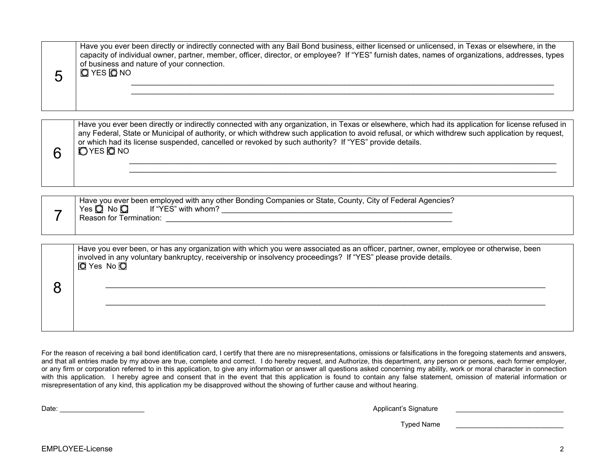| 5 | of business and nature of your connection.<br>$Q$ YES $Q$ NO                                                                                                                                                                                                                                                                                                                                                                 |
|---|------------------------------------------------------------------------------------------------------------------------------------------------------------------------------------------------------------------------------------------------------------------------------------------------------------------------------------------------------------------------------------------------------------------------------|
| 6 | Have you ever been directly or indirectly connected with any organization, in Texas or elsewhere, which had its application for license refused in<br>any Federal, State or Municipal of authority, or which withdrew such application to avoid refusal, or which withdrew such application by request,<br>or which had its license suspended, cancelled or revoked by such authority? If "YES" provide details.<br>OYES ONO |
|   | Have you ever been employed with any other Bonding Companies or State, County, City of Federal Agencies?<br>$Yes \bigcirc$ No $\bigcirc$ If "YES" with whom?<br>Reason for Termination: New York Changes and Changes and Changes and Changes and Changes and Changes and Changes and Changes and Changes and Changes and Changes and Changes and Changes and Changes and Changes and Changes a                               |
| 8 | Have you ever been, or has any organization with which you were associated as an officer, partner, owner, employee or otherwise, been<br>involved in any voluntary bankruptcy, receivership or insolvency proceedings? If "YES" please provide details.<br><b>Q</b> Yes No <b>Q</b>                                                                                                                                          |

Have you ever been directly or indirectly connected with any Bail Bond business, either licensed or unlicensed, in Texas or elsewhere, in the capacity of individual owner, partner, member, officer, director, or employee? If "YES" furnish dates, names of organizations, addresses, types

For the reason of receiving a bail bond identification card, I certify that there are no misrepresentations, omissions or falsifications in the foregoing statements and answers, and that all entries made by my above are true, complete and correct. I do hereby request, and Authorize, this department, any person or persons, each former employer, or any firm or corporation referred to in this application, to give any information or answer all questions asked concerning my ability, work or moral character in connection with this application. I hereby agree and consent that in the event that this application is found to contain any false statement, omission of material information or misrepresentation of any kind, this application my be disapproved without the showing of further cause and without hearing.

\_\_\_\_\_\_\_\_\_\_\_\_\_\_\_\_\_\_\_\_\_\_\_\_\_\_\_\_\_\_\_\_\_\_\_\_\_\_\_\_\_\_\_\_\_\_\_\_\_\_\_\_\_\_\_\_\_\_\_\_\_\_\_\_\_\_\_\_\_\_\_\_\_\_\_\_\_\_\_\_\_\_\_\_\_\_\_\_\_\_\_\_\_\_\_\_\_\_\_\_\_\_\_

Date: \_\_\_\_\_\_\_\_\_\_\_\_\_\_\_\_\_\_\_\_\_\_ Applicant's Signature \_\_\_\_\_\_\_\_\_\_\_\_\_\_\_\_\_\_\_\_\_\_\_\_\_\_\_\_

Typed Name **Law 2008**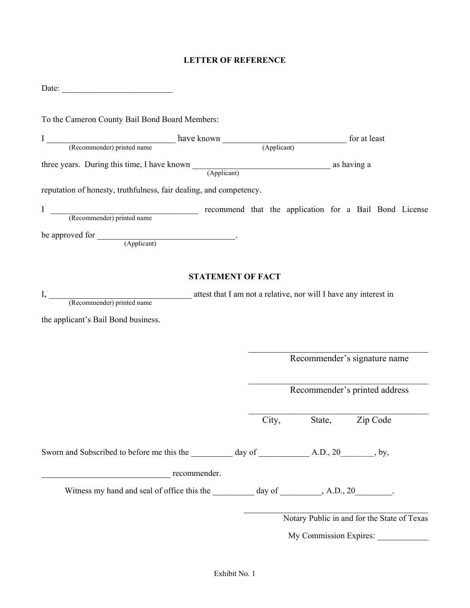#### **LETTER OF REFERENCE**

| To the Cameron County Bail Bond Board Members:                                                                                   |                                                                  |       |        |                                             |
|----------------------------------------------------------------------------------------------------------------------------------|------------------------------------------------------------------|-------|--------|---------------------------------------------|
|                                                                                                                                  |                                                                  |       |        |                                             |
| I (Recommender) printed name have known (Applicant) for at least                                                                 |                                                                  |       |        |                                             |
|                                                                                                                                  |                                                                  |       |        |                                             |
| three years. During this time, I have known (Applicant) as having a as having a set of the set of $\frac{1}{\text{Number of } }$ |                                                                  |       |        |                                             |
| reputation of honesty, truthfulness, fair dealing, and competency.                                                               |                                                                  |       |        |                                             |
| I<br>(Recommender) printed name recommend that the application for a Bail Bond License                                           |                                                                  |       |        |                                             |
|                                                                                                                                  |                                                                  |       |        |                                             |
| I, (Recommender) printed name<br>the applicant's Bail Bond business.                                                             | attest that I am not a relative, nor will I have any interest in |       |        |                                             |
|                                                                                                                                  |                                                                  |       |        | Recommender's signature name                |
|                                                                                                                                  |                                                                  |       |        | Recommender's printed address               |
|                                                                                                                                  |                                                                  | City, | State, | Zip Code                                    |
|                                                                                                                                  |                                                                  |       |        |                                             |
| recommender.                                                                                                                     |                                                                  |       |        |                                             |
|                                                                                                                                  |                                                                  |       |        |                                             |
|                                                                                                                                  |                                                                  |       |        | Notary Public in and for the State of Texas |
|                                                                                                                                  |                                                                  |       |        | My Commission Expires:                      |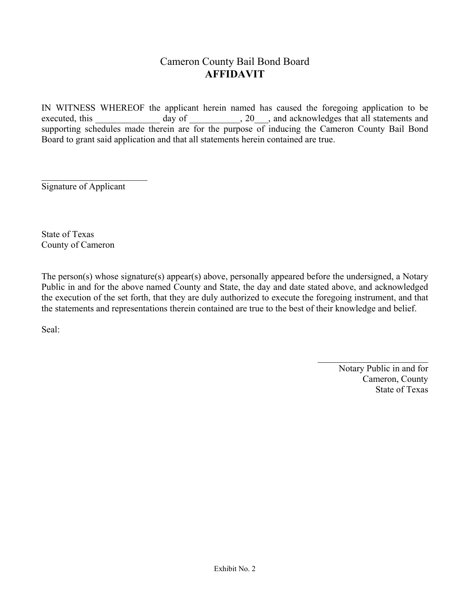# Cameron County Bail Bond Board **AFFIDAVIT**

IN WITNESS WHEREOF the applicant herein named has caused the foregoing application to be executed, this \_\_\_\_\_\_\_\_\_\_\_\_\_ day of \_\_\_\_\_\_\_\_\_, 20\_\_\_, and acknowledges that all statements and supporting schedules made therein are for the purpose of inducing the Cameron County Bail Bond Board to grant said application and that all statements herein contained are true.

Signature of Applicant

State of Texas County of Cameron

The person(s) whose signature(s) appear(s) above, personally appeared before the undersigned, a Notary Public in and for the above named County and State, the day and date stated above, and acknowledged the execution of the set forth, that they are duly authorized to execute the foregoing instrument, and that the statements and representations therein contained are true to the best of their knowledge and belief.

Seal:

 Notary Public in and for Cameron, County State of Texas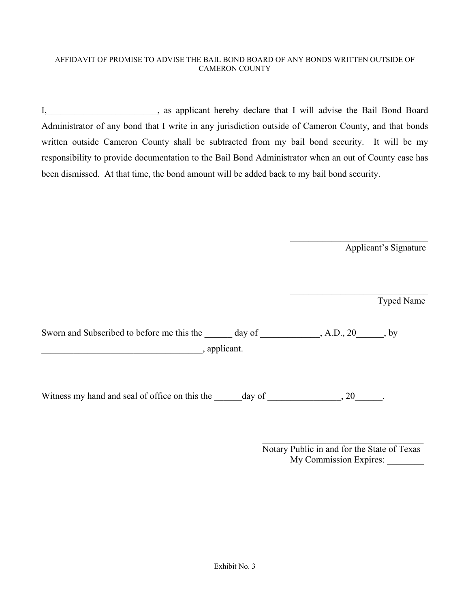#### AFFIDAVIT OF PROMISE TO ADVISE THE BAIL BOND BOARD OF ANY BONDS WRITTEN OUTSIDE OF CAMERON COUNTY

I, sa applicant hereby declare that I will advise the Bail Bond Board Administrator of any bond that I write in any jurisdiction outside of Cameron County, and that bonds written outside Cameron County shall be subtracted from my bail bond security. It will be my responsibility to provide documentation to the Bail Bond Administrator when an out of County case has been dismissed. At that time, the bond amount will be added back to my bail bond security.

Applicant's Signature

Typed Name

Sworn and Subscribed to before me this the day of the state and A.D., 20 and by \_\_\_\_\_\_\_\_\_\_\_\_\_\_\_\_\_\_\_\_\_\_\_\_\_\_\_\_\_\_\_\_\_\_\_, applicant.

Witness my hand and seal of office on this the \_\_\_\_\_day of \_\_\_\_\_\_\_\_\_\_\_\_, 20\_\_\_\_\_.

 Notary Public in and for the State of Texas My Commission Expires: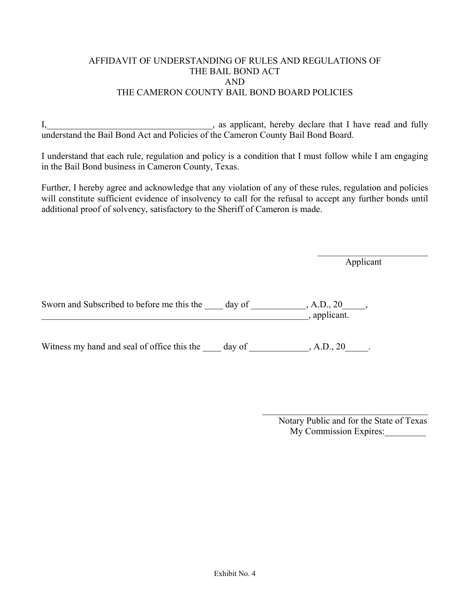#### AFFIDAVIT OF UNDERSTANDING OF RULES AND REGULATIONS OF THE BAIL BOND ACT AND THE CAMERON COUNTY BAIL BOND BOARD POLICIES

I, \_\_\_\_\_\_\_\_\_\_\_\_\_\_\_\_\_\_\_\_\_\_\_\_\_\_\_\_\_\_\_\_, as applicant, hereby declare that I have read and fully understand the Bail Bond Act and Policies of the Cameron County Bail Bond Board.

I understand that each rule, regulation and policy is a condition that I must follow while I am engaging in the Bail Bond business in Cameron County, Texas.

Further, I hereby agree and acknowledge that any violation of any of these rules, regulation and policies will constitute sufficient evidence of insolvency to call for the refusal to accept any further bonds until additional proof of solvency, satisfactory to the Sheriff of Cameron is made.

Applicant

Sworn and Subscribed to before me this the \_\_\_\_ day of \_\_\_\_\_\_\_\_\_, A.D., 20\_\_\_\_,  $\frac{1}{\sqrt{2}}$   $\frac{1}{\sqrt{2}}$   $\frac{1}{\sqrt{2}}$   $\frac{1}{\sqrt{2}}$   $\frac{1}{\sqrt{2}}$   $\frac{1}{\sqrt{2}}$   $\frac{1}{\sqrt{2}}$   $\frac{1}{\sqrt{2}}$   $\frac{1}{\sqrt{2}}$   $\frac{1}{\sqrt{2}}$   $\frac{1}{\sqrt{2}}$   $\frac{1}{\sqrt{2}}$   $\frac{1}{\sqrt{2}}$   $\frac{1}{\sqrt{2}}$   $\frac{1}{\sqrt{2}}$   $\frac{1}{\sqrt{2}}$   $\frac{1}{\sqrt{2}}$ 

Witness my hand and seal of office this the day of , A.D., 20.

 Notary Public and for the State of Texas My Commission Expires: